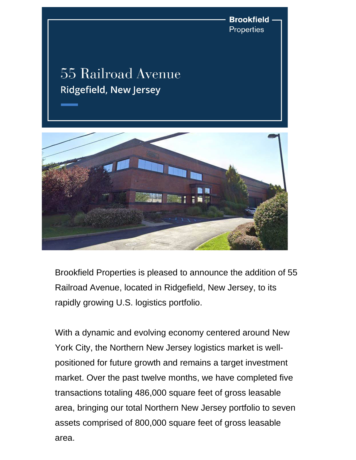**Brookfield** Properties

## 55 Railroad Avenue **Ridgefield, New Jersey**



Brookfield Properties is pleased to announce the addition of 55 Railroad Avenue, located in Ridgefield, New Jersey, to its rapidly growing U.S. logistics portfolio.

With a dynamic and evolving economy centered around New York City, the Northern New Jersey logistics market is wellpositioned for future growth and remains a target investment market. Over the past twelve months, we have completed five transactions totaling 486,000 square feet of gross leasable area, bringing our total Northern New Jersey portfolio to seven assets comprised of 800,000 square feet of gross leasable area.